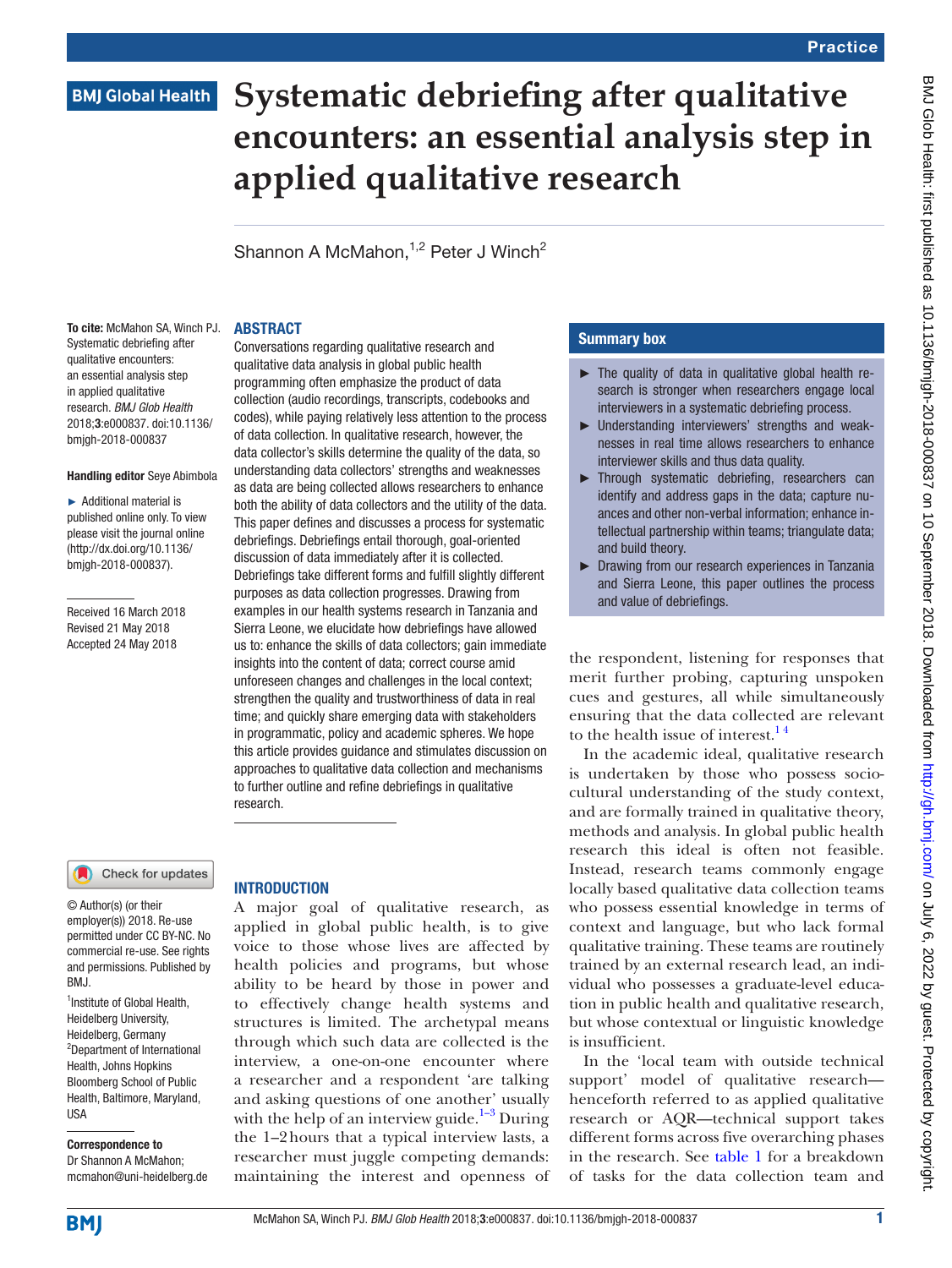# **BMJ Global Health**

# **Systematic debriefing after qualitative encounters: an essential analysis step in applied qualitative research**

Shannon A McMahon, $1,2$  Peter J Winch<sup>2</sup>

Conversations regarding qualitative research and qualitative data analysis in global public health programming often emphasize the product of data collection (audio recordings, transcripts, codebooks and codes), while paying relatively less attention to the process of data collection. In qualitative research, however, the data collector's skills determine the quality of the data, so understanding data collectors' strengths and weaknesses as data are being collected allows researchers to enhance both the ability of data collectors and the utility of the data. This paper defines and discusses a process for systematic debriefings. Debriefings entail thorough, goal-oriented discussion of data immediately after it is collected. Debriefings take different forms and fulfill slightly different purposes as data collection progresses. Drawing from examples in our health systems research in Tanzania and Sierra Leone, we elucidate how debriefings have allowed us to: enhance the skills of data collectors; gain immediate insights into the content of data; correct course amid unforeseen changes and challenges in the local context; strengthen the quality and trustworthiness of data in real time; and quickly share emerging data with stakeholders in programmatic, policy and academic spheres. We hope this article provides guidance and stimulates discussion on approaches to qualitative data collection and mechanisms to further outline and refine debriefings in qualitative

#### **ABSTRACT**

To cite: McMahon SA, Winch PJ. Systematic debriefing after qualitative encounters: an essential analysis step in applied qualitative research. *BMJ Glob Health* 2018;3:e000837. doi:10.1136/ bmjgh-2018-000837

#### Handling editor Seye Abimbola

► Additional material is published online only. To view please visit the journal online (http://dx.doi.org/10.1136/ bmjgh-2018-000837).

Received 16 March 2018 Revised 21 May 2018 Accepted 24 May 2018

#### Check for updates

© Author(s) (or their employer(s)) 2018. Re-use permitted under CC BY-NC. No commercial re-use. See rights and permissions. Published by BMJ.

<sup>1</sup>Institute of Global Health, Heidelberg University, Heidelberg, Germany 2 Department of International Health, Johns Hopkins Bloomberg School of Public Health, Baltimore, Maryland, USA

Correspondence to Dr Shannon A McMahon; mcmahon@uni-heidelberg.de

## **INTRODUCTION**

research.

A major goal of qualitative research, as applied in global public health, is to give voice to those whose lives are affected by health policies and programs, but whose ability to be heard by those in power and to effectively change health systems and structures is limited. The archetypal means through which such data are collected is the interview, a one-on-one encounter where a researcher and a respondent 'are talking and asking questions of one another' usually with the help of an interview guide.<sup>[1–3](#page-4-0)</sup> During the 1–2hours that a typical interview lasts, a researcher must juggle competing demands: maintaining the interest and openness of

## Summary box

- ► The quality of data in qualitative global health research is stronger when researchers engage local interviewers in a systematic debriefing process.
- ► Understanding interviewers' strengths and weaknesses in real time allows researchers to enhance interviewer skills and thus data quality.
- ► Through systematic debriefing, researchers can identify and address gaps in the data; capture nuances and other non-verbal information; enhance intellectual partnership within teams; triangulate data; and build theory.
- ► Drawing from our research experiences in Tanzania and Sierra Leone, this paper outlines the process and value of debriefings.

the respondent, listening for responses that merit further probing, capturing unspoken cues and gestures, all while simultaneously ensuring that the data collected are relevant to the health issue of interest.<sup>14</sup>

In the academic ideal, qualitative research is undertaken by those who possess sociocultural understanding of the study context, and are formally trained in qualitative theory, methods and analysis. In global public health research this ideal is often not feasible. Instead, research teams commonly engage locally based qualitative data collection teams who possess essential knowledge in terms of context and language, but who lack formal qualitative training. These teams are routinely trained by an external research lead, an individual who possesses a graduate-level education in public health and qualitative research, but whose contextual or linguistic knowledge is insufficient.

In the 'local team with outside technical support' model of qualitative research henceforth referred to as applied qualitative research or AQR—technical support takes different forms across five overarching phases in the research. See [table](#page-1-0) 1 for a breakdown of tasks for the data collection team and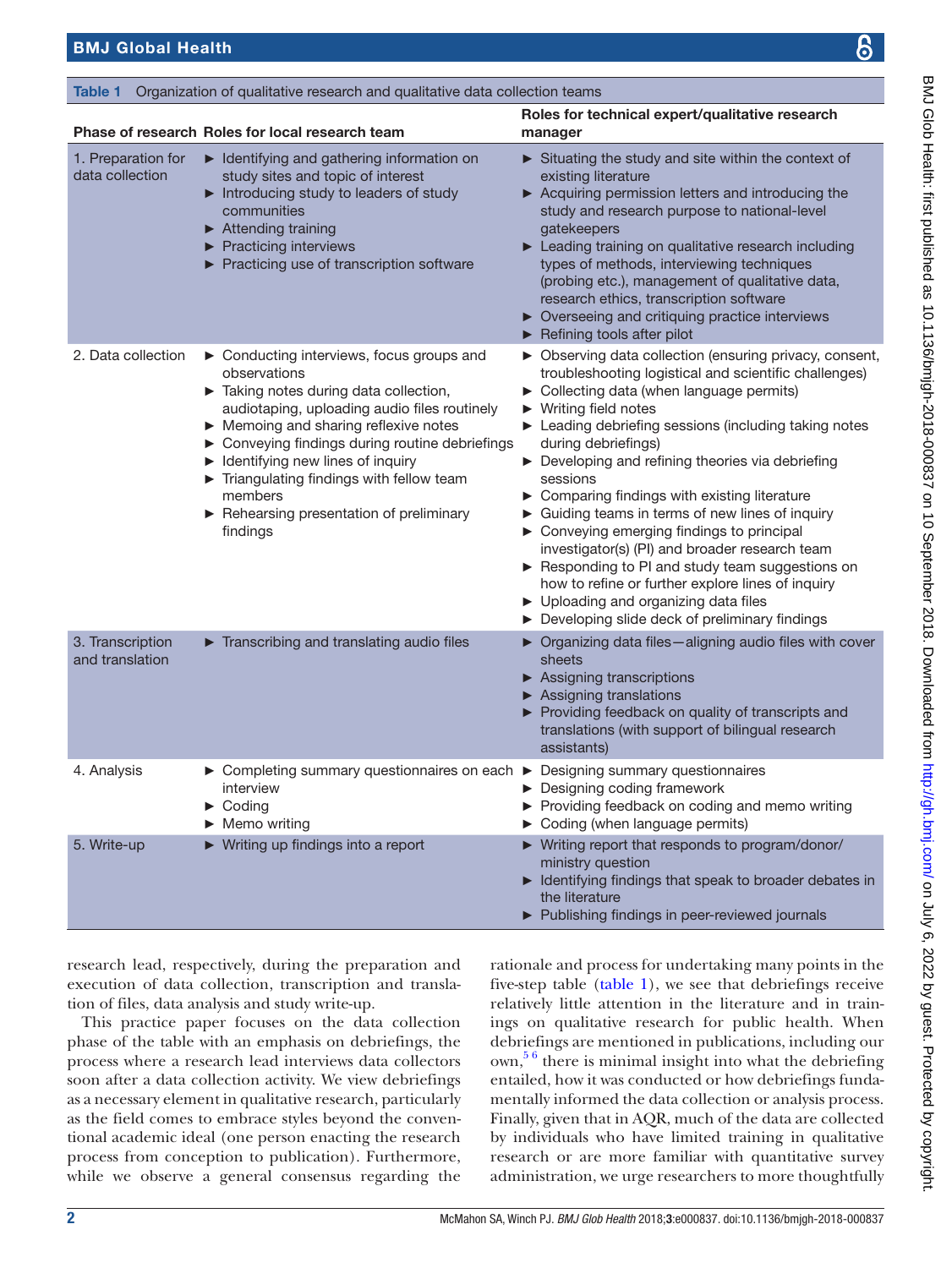1. Preparation for data collection

3. Transcription and translation

<span id="page-1-0"></span>

|  | Table 1 Organization of qualitative research and qualitative data collection teams |  |
|--|------------------------------------------------------------------------------------|--|

Phase of research Roles for local research team

2. Data collection ► Conducting interviews, focu observations

4. Analysis ► Completing summary questi interview ► Coding ► Memo writing

5. Write-up ► Writing up findings into a rep

| Roles for local research team                                                                                                                                                                                                                                                                                                                                                               | Roles for technical expert/qualitative research<br>manager                                                                                                                                                                                                                                                                                                                                                                                                                                                                                                                                                                                                                                                                                                      |  |
|---------------------------------------------------------------------------------------------------------------------------------------------------------------------------------------------------------------------------------------------------------------------------------------------------------------------------------------------------------------------------------------------|-----------------------------------------------------------------------------------------------------------------------------------------------------------------------------------------------------------------------------------------------------------------------------------------------------------------------------------------------------------------------------------------------------------------------------------------------------------------------------------------------------------------------------------------------------------------------------------------------------------------------------------------------------------------------------------------------------------------------------------------------------------------|--|
| Identifying and gathering information on<br>study sites and topic of interest<br>Introducing study to leaders of study<br>communities<br>Attending training<br>$\blacktriangleright$ Practicing interviews<br>▶ Practicing use of transcription software                                                                                                                                    | Situating the study and site within the context of<br>existing literature<br>▶ Acquiring permission letters and introducing the<br>study and research purpose to national-level<br>gatekeepers<br>Leading training on qualitative research including<br>types of methods, interviewing techniques<br>(probing etc.), management of qualitative data,<br>research ethics, transcription software<br>▶ Overseeing and critiquing practice interviews<br>Refining tools after pilot                                                                                                                                                                                                                                                                                |  |
| ▶ Conducting interviews, focus groups and<br>observations<br>Taking notes during data collection,<br>audiotaping, uploading audio files routinely<br>Memoing and sharing reflexive notes<br>> Conveying findings during routine debriefings<br>Identifying new lines of inquiry<br>Triangulating findings with fellow team<br>members<br>Rehearsing presentation of preliminary<br>findings | ▶ Observing data collection (ensuring privacy, consent,<br>troubleshooting logistical and scientific challenges)<br>• Collecting data (when language permits)<br>$\blacktriangleright$ Writing field notes<br>▶ Leading debriefing sessions (including taking notes<br>during debriefings)<br>Developing and refining theories via debriefing<br>sessions<br>▶ Comparing findings with existing literature<br>▶ Guiding teams in terms of new lines of inquiry<br>▶ Conveying emerging findings to principal<br>investigator(s) (PI) and broader research team<br>Responding to PI and study team suggestions on<br>how to refine or further explore lines of inquiry<br>▶ Uploading and organizing data files<br>Developing slide deck of preliminary findings |  |
| Transcribing and translating audio files                                                                                                                                                                                                                                                                                                                                                    | ▶ Organizing data files-aligning audio files with cover<br>sheets<br>▶ Assigning transcriptions<br>Assigning translations<br>▶ Providing feedback on quality of transcripts and<br>translations (with support of bilingual research<br>assistants)                                                                                                                                                                                                                                                                                                                                                                                                                                                                                                              |  |
| ► Completing summary questionnaires on each ► Designing summary questionnaires<br>interview<br>$\triangleright$ Coding<br>$\blacktriangleright$ Memo writing                                                                                                                                                                                                                                | ▶ Designing coding framework<br>Providing feedback on coding and memo writing<br>Coding (when language permits)                                                                                                                                                                                                                                                                                                                                                                                                                                                                                                                                                                                                                                                 |  |
| ▶ Writing up findings into a report                                                                                                                                                                                                                                                                                                                                                         | ▶ Writing report that responds to program/donor/<br>ministry question<br>▶ Identifying findings that speak to broader debates in<br>the literature<br>Publishing findings in peer-reviewed journals                                                                                                                                                                                                                                                                                                                                                                                                                                                                                                                                                             |  |

research lead, respectively, during the preparat execution of data collection, transcription and tion of files, data analysis and study write-up.

This practice paper focuses on the data collection phase of the table with an emphasis on debriefings, the process where a research lead interviews data collectors soon after a data collection activity. We view debriefings as a necessary element in qualitative research, particularly as the field comes to embrace styles beyond the conventional academic ideal (one person enacting the research process from conception to publication). Furthermore, while we observe a general consensus regarding the

relatively little attention in the literature and in trainings on qualitative research for public health. When debriefings are mentioned in publications, including our own,<sup>56</sup> there is minimal insight into what the debriefing entailed, how it was conducted or how debriefings fundamentally informed the data collection or analysis process. Finally, given that in AQR, much of the data are collected by individuals who have limited training in qualitative research or are more familiar with quantitative survey administration, we urge researchers to more thoughtfully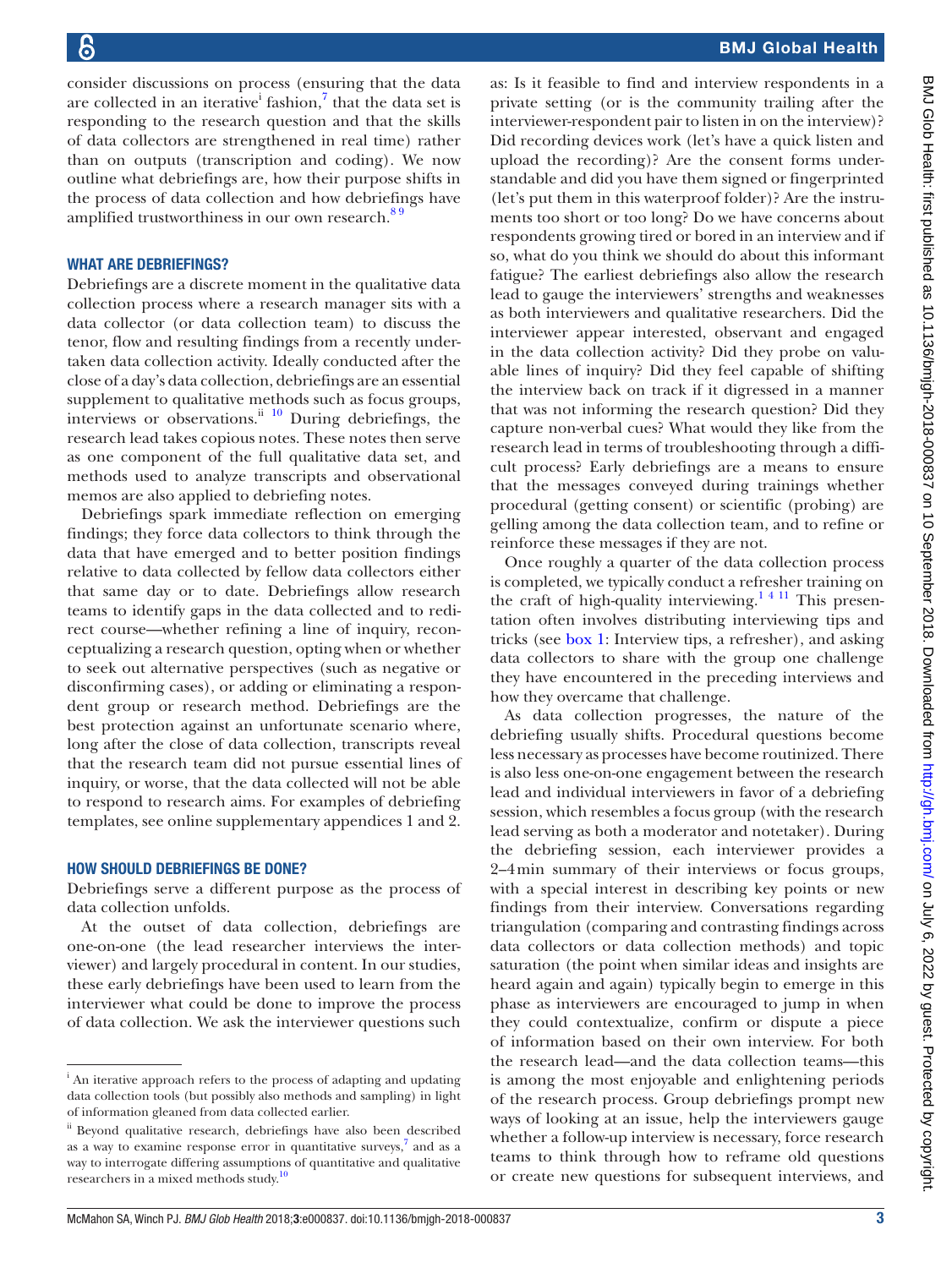consider discussions on process (ensuring that the data are collected in an iterative<sup>i</sup> fashion,<sup>7</sup> that the data set is responding to the research question and that the skills of data collectors are strengthened in real time) rather than on outputs (transcription and coding). We now outline what debriefings are, how their purpose shifts in the process of data collection and how debriefings have amplified trustworthiness in our own research. $89$ 

### WHAT ARE DEBRIEFINGS?

Debriefings are a discrete moment in the qualitative data collection process where a research manager sits with a data collector (or data collection team) to discuss the tenor, flow and resulting findings from a recently undertaken data collection activity. Ideally conducted after the close of a day's data collection, debriefings are an essential supplement to qualitative methods such as focus groups, interviews or observations. $\frac{ii}{10}$  During debriefings, the research lead takes copious notes. These notes then serve as one component of the full qualitative data set, and methods used to analyze transcripts and observational memos are also applied to debriefing notes.

Debriefings spark immediate reflection on emerging findings; they force data collectors to think through the data that have emerged and to better position findings relative to data collected by fellow data collectors either that same day or to date. Debriefings allow research teams to identify gaps in the data collected and to redirect course—whether refining a line of inquiry, reconceptualizing a research question, opting when or whether to seek out alternative perspectives (such as negative or disconfirming cases), or adding or eliminating a respondent group or research method. Debriefings are the best protection against an unfortunate scenario where, long after the close of data collection, transcripts reveal that the research team did not pursue essential lines of inquiry, or worse, that the data collected will not be able to respond to research aims. For examples of debriefing templates, see online [supplementary appendices 1 and 2.](https://dx.doi.org/10.1136/bmjgh-2018-000837)

#### How should debriefings be done?

Debriefings serve a different purpose as the process of data collection unfolds.

At the outset of data collection, debriefings are one-on-one (the lead researcher interviews the interviewer) and largely procedural in content. In our studies, these early debriefings have been used to learn from the interviewer what could be done to improve the process of data collection. We ask the interviewer questions such

as: Is it feasible to find and interview respondents in a private setting (or is the community trailing after the interviewer-respondent pair to listen in on the interview)? Did recording devices work (let's have a quick listen and upload the recording)? Are the consent forms understandable and did you have them signed or fingerprinted (let's put them in this waterproof folder)? Are the instruments too short or too long? Do we have concerns about respondents growing tired or bored in an interview and if so, what do you think we should do about this informant fatigue? The earliest debriefings also allow the research lead to gauge the interviewers' strengths and weaknesses as both interviewers and qualitative researchers. Did the interviewer appear interested, observant and engaged in the data collection activity? Did they probe on valuable lines of inquiry? Did they feel capable of shifting the interview back on track if it digressed in a manner that was not informing the research question? Did they capture non-verbal cues? What would they like from the research lead in terms of troubleshooting through a difficult process? Early debriefings are a means to ensure that the messages conveyed during trainings whether procedural (getting consent) or scientific (probing) are gelling among the data collection team, and to refine or reinforce these messages if they are not.

Once roughly a quarter of the data collection process is completed, we typically conduct a refresher training on the craft of high-quality interviewing.<sup>14 11</sup> This presentation often involves distributing interviewing tips and tricks (see [box](#page-3-0) 1: Interview tips, a refresher), and asking data collectors to share with the group one challenge they have encountered in the preceding interviews and how they overcame that challenge.

As data collection progresses, the nature of the debriefing usually shifts. Procedural questions become less necessary as processes have become routinized. There is also less one-on-one engagement between the research lead and individual interviewers in favor of a debriefing session, which resembles a focus group (with the research lead serving as both a moderator and notetaker). During the debriefing session, each interviewer provides a 2–4min summary of their interviews or focus groups, with a special interest in describing key points or new findings from their interview. Conversations regarding triangulation (comparing and contrasting findings across data collectors or data collection methods) and topic saturation (the point when similar ideas and insights are heard again and again) typically begin to emerge in this phase as interviewers are encouraged to jump in when they could contextualize, confirm or dispute a piece of information based on their own interview. For both the research lead—and the data collection teams—this is among the most enjoyable and enlightening periods of the research process. Group debriefings prompt new ways of looking at an issue, help the interviewers gauge whether a follow-up interview is necessary, force research teams to think through how to reframe old questions or create new questions for subsequent interviews, and

<sup>&</sup>lt;sup>i</sup> An iterative approach refers to the process of adapting and updating data collection tools (but possibly also methods and sampling) in light of information gleaned from data collected earlier.

ii Beyond qualitative research, debriefings have also been described as a way to examine response error in quantitative surveys, $\frac{7}{7}$  $\frac{7}{7}$  $\frac{7}{7}$  and as a way to interrogate differing assumptions of quantitative and qualitative researchers in a mixed methods study.<sup>[10](#page-5-2)</sup>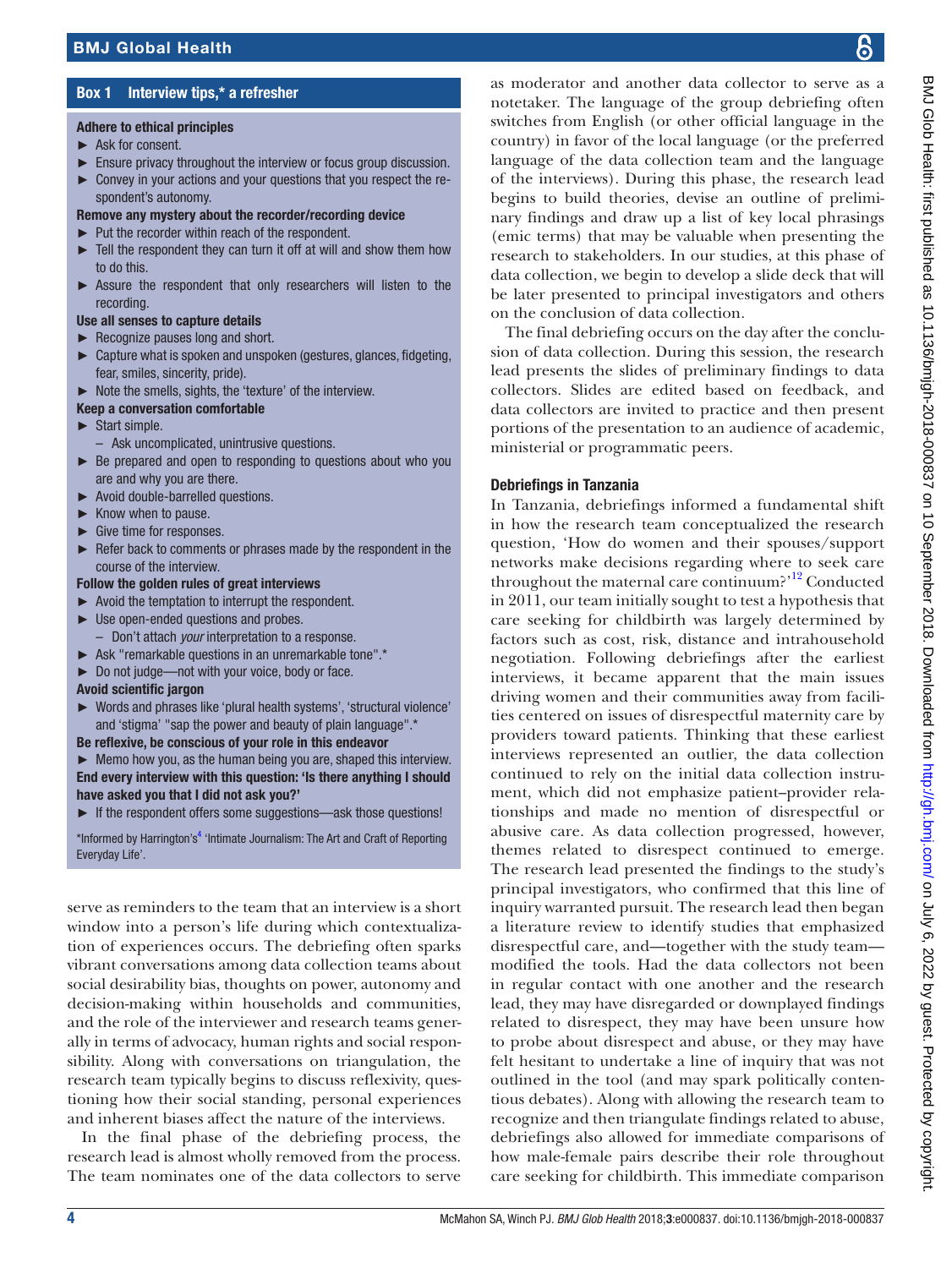# Box 1 Interview tips,\* a refresher

#### <span id="page-3-0"></span>Adhere to ethical principles

- ► Ask for consent.
- ► Ensure privacy throughout the interview or focus group discussion.
- ► Convey in your actions and your questions that you respect the respondent's autonomy.
- Remove any mystery about the recorder/recording device
- ► Put the recorder within reach of the respondent.
- Tell the respondent they can turn it off at will and show them how to do this.
- Assure the respondent that only researchers will listen to the recording.

#### Use all senses to capture details

- ► Recognize pauses long and short.
- ► Capture what is spoken and unspoken (gestures, glances, fidgeting, fear, smiles, sincerity, pride).
- ► Note the smells, sights, the 'texture' of the interview.

#### Keep a conversation comfortable

- ► Start simple.
- Ask uncomplicated, unintrusive questions.
- ► Be prepared and open to responding to questions about who you are and why you are there.
- ► Avoid double-barrelled questions.
- ► Know when to pause.
- Give time for responses.
- Refer back to comments or phrases made by the respondent in the course of the interview.

#### Follow the golden rules of great interviews

- ► Avoid the temptation to interrupt the respondent.
- ► Use open-ended questions and probes.
	- Don't attach *your* interpretation to a response.
- ► Ask "remarkable questions in an unremarkable tone".\*
- ► Do not judge—not with your voice, body or face.

#### Avoid scientific jargon

- ► Words and phrases like 'plural health systems', 'structural violence' and 'stigma' "sap the power and beauty of plain language".\*
- Be reflexive, be conscious of your role in this endeavor

► Memo how you, as the human being you are, shaped this interview. End every interview with this question: 'Is there anything I should have asked you that I did not ask you?'

► If the respondent offers some suggestions—ask those questions!

\*Informed by Harrington's<sup>[4](#page-4-2)</sup> 'Intimate Journalism: The Art and Craft of Reporting Everyday Life'.

serve as reminders to the team that an interview is a short window into a person's life during which contextualization of experiences occurs. The debriefing often sparks vibrant conversations among data collection teams about social desirability bias, thoughts on power, autonomy and decision-making within households and communities, and the role of the interviewer and research teams generally in terms of advocacy, human rights and social responsibility. Along with conversations on triangulation, the research team typically begins to discuss reflexivity, questioning how their social standing, personal experiences and inherent biases affect the nature of the interviews.

In the final phase of the debriefing process, the research lead is almost wholly removed from the process. The team nominates one of the data collectors to serve

as moderator and another data collector to serve as a notetaker. The language of the group debriefing often switches from English (or other official language in the country) in favor of the local language (or the preferred language of the data collection team and the language of the interviews). During this phase, the research lead begins to build theories, devise an outline of preliminary findings and draw up a list of key local phrasings (emic terms) that may be valuable when presenting the research to stakeholders. In our studies, at this phase of data collection, we begin to develop a slide deck that will be later presented to principal investigators and others on the conclusion of data collection.

The final debriefing occurs on the day after the conclusion of data collection. During this session, the research lead presents the slides of preliminary findings to data collectors. Slides are edited based on feedback, and data collectors are invited to practice and then present portions of the presentation to an audience of academic, ministerial or programmatic peers.

## Debriefings in Tanzania

In Tanzania, debriefings informed a fundamental shift in how the research team conceptualized the research question, 'How do women and their spouses/support networks make decisions regarding where to seek care throughout the maternal care continuum?'<sup>[12](#page-5-3)</sup> Conducted in 2011, our team initially sought to test a hypothesis that care seeking for childbirth was largely determined by factors such as cost, risk, distance and intrahousehold negotiation. Following debriefings after the earliest interviews, it became apparent that the main issues driving women and their communities away from facilities centered on issues of disrespectful maternity care by providers toward patients. Thinking that these earliest interviews represented an outlier, the data collection continued to rely on the initial data collection instrument, which did not emphasize patient–provider relationships and made no mention of disrespectful or abusive care. As data collection progressed, however, themes related to disrespect continued to emerge. The research lead presented the findings to the study's principal investigators, who confirmed that this line of inquiry warranted pursuit. The research lead then began a literature review to identify studies that emphasized disrespectful care, and—together with the study team modified the tools. Had the data collectors not been in regular contact with one another and the research lead, they may have disregarded or downplayed findings related to disrespect, they may have been unsure how to probe about disrespect and abuse, or they may have felt hesitant to undertake a line of inquiry that was not outlined in the tool (and may spark politically contentious debates). Along with allowing the research team to recognize and then triangulate findings related to abuse, debriefings also allowed for immediate comparisons of how male-female pairs describe their role throughout care seeking for childbirth. This immediate comparison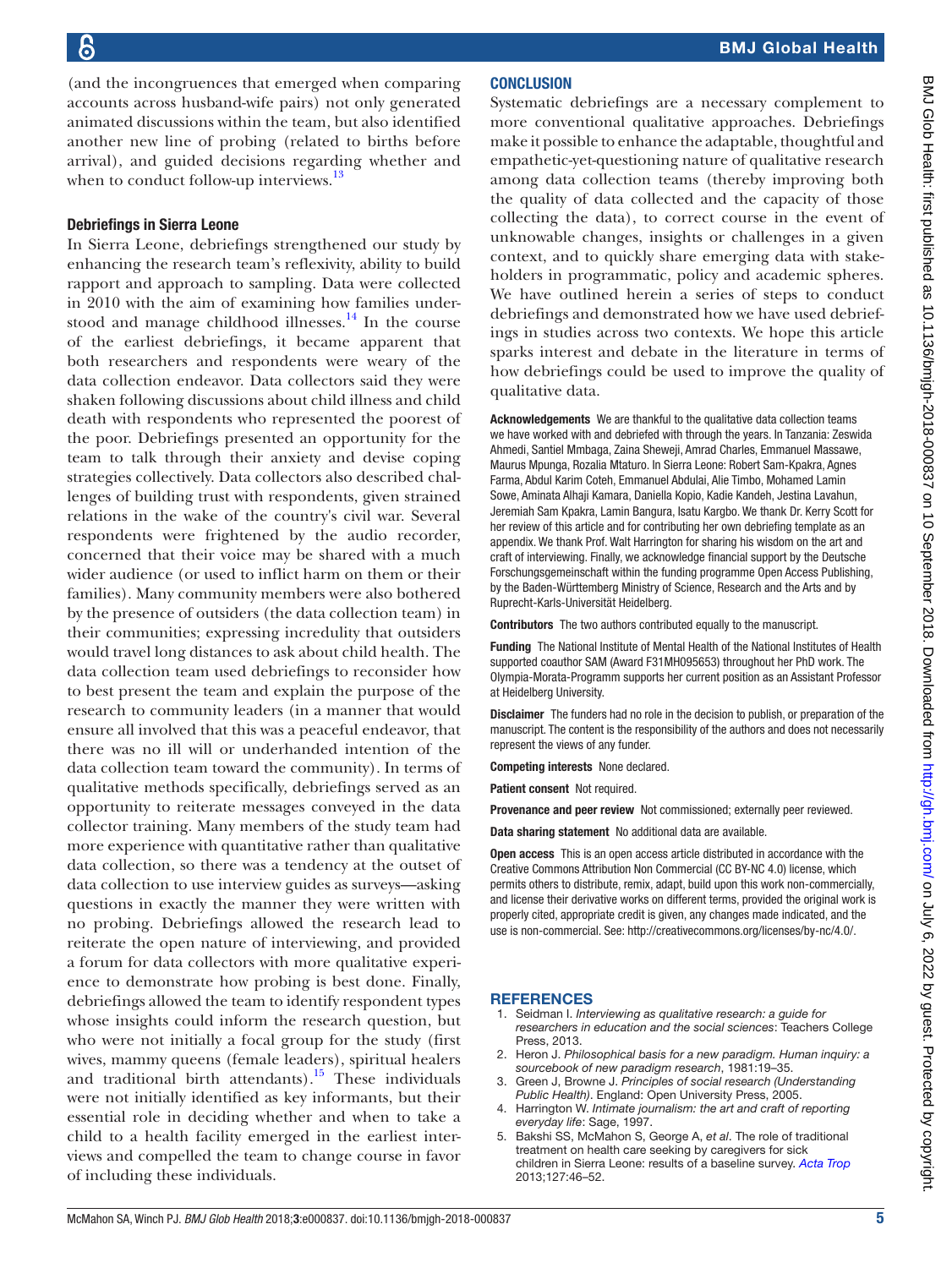(and the incongruences that emerged when comparing accounts across husband-wife pairs) not only generated animated discussions within the team, but also identified another new line of probing (related to births before arrival), and guided decisions regarding whether and when to conduct follow-up interviews.<sup>[13](#page-5-4)</sup>

## Debriefings in Sierra Leone

In Sierra Leone, debriefings strengthened our study by enhancing the research team's reflexivity, ability to build rapport and approach to sampling. Data were collected in 2010 with the aim of examining how families understood and manage childhood illnesses. $14$  In the course of the earliest debriefings, it became apparent that both researchers and respondents were weary of the data collection endeavor. Data collectors said they were shaken following discussions about child illness and child death with respondents who represented the poorest of the poor. Debriefings presented an opportunity for the team to talk through their anxiety and devise coping strategies collectively. Data collectors also described challenges of building trust with respondents, given strained relations in the wake of the country's civil war. Several respondents were frightened by the audio recorder, concerned that their voice may be shared with a much wider audience (or used to inflict harm on them or their families). Many community members were also bothered by the presence of outsiders (the data collection team) in their communities; expressing incredulity that outsiders would travel long distances to ask about child health. The data collection team used debriefings to reconsider how to best present the team and explain the purpose of the research to community leaders (in a manner that would ensure all involved that this was a peaceful endeavor, that there was no ill will or underhanded intention of the data collection team toward the community). In terms of qualitative methods specifically, debriefings served as an opportunity to reiterate messages conveyed in the data collector training. Many members of the study team had more experience with quantitative rather than qualitative data collection, so there was a tendency at the outset of data collection to use interview guides as surveys—asking questions in exactly the manner they were written with no probing. Debriefings allowed the research lead to reiterate the open nature of interviewing, and provided a forum for data collectors with more qualitative experience to demonstrate how probing is best done. Finally, debriefings allowed the team to identify respondent types whose insights could inform the research question, but who were not initially a focal group for the study (first wives, mammy queens (female leaders), spiritual healers and traditional birth attendants).<sup>15</sup> These individuals were not initially identified as key informants, but their essential role in deciding whether and when to take a child to a health facility emerged in the earliest interviews and compelled the team to change course in favor of including these individuals.

## **CONCLUSION**

Systematic debriefings are a necessary complement to more conventional qualitative approaches. Debriefings make it possible to enhance the adaptable, thoughtful and empathetic-yet-questioning nature of qualitative research among data collection teams (thereby improving both the quality of data collected and the capacity of those collecting the data), to correct course in the event of unknowable changes, insights or challenges in a given context, and to quickly share emerging data with stakeholders in programmatic, policy and academic spheres. We have outlined herein a series of steps to conduct debriefings and demonstrated how we have used debriefings in studies across two contexts. We hope this article sparks interest and debate in the literature in terms of how debriefings could be used to improve the quality of qualitative data.

Acknowledgements We are thankful to the qualitative data collection teams we have worked with and debriefed with through the years. In Tanzania: Zeswida Ahmedi, Santiel Mmbaga, Zaina Sheweji, Amrad Charles, Emmanuel Massawe, Maurus Mpunga, Rozalia Mtaturo. In Sierra Leone: Robert Sam-Kpakra, Agnes Farma, Abdul Karim Coteh, Emmanuel Abdulai, Alie Timbo, Mohamed Lamin Sowe, Aminata Alhaji Kamara, Daniella Kopio, Kadie Kandeh, Jestina Lavahun, Jeremiah Sam Kpakra, Lamin Bangura, Isatu Kargbo. We thank Dr. Kerry Scott for her review of this article and for contributing her own debriefing template as an appendix. We thank Prof. Walt Harrington for sharing his wisdom on the art and craft of interviewing. Finally, we acknowledge financial support by the Deutsche Forschungsgemeinschaft within the funding programme Open Access Publishing, by the Baden-Württemberg Ministry of Science, Research and the Arts and by Ruprecht-Karls-Universität Heidelberg.

Contributors The two authors contributed equally to the manuscript.

Funding The National Institute of Mental Health of the National Institutes of Health supported coauthor SAM (Award F31MH095653) throughout her PhD work. The Olympia-Morata-Programm supports her current position as an Assistant Professor at Heidelberg University.

Disclaimer The funders had no role in the decision to publish, or preparation of the manuscript. The content is the responsibility of the authors and does not necessarily represent the views of any funder.

Competing interests None declared.

Patient consent Not required.

Provenance and peer review Not commissioned; externally peer reviewed.

Data sharing statement No additional data are available.

Open access This is an open access article distributed in accordance with the Creative Commons Attribution Non Commercial (CC BY-NC 4.0) license, which permits others to distribute, remix, adapt, build upon this work non-commercially, and license their derivative works on different terms, provided the original work is properly cited, appropriate credit is given, any changes made indicated, and the use is non-commercial. See: <http://creativecommons.org/licenses/by-nc/4.0/>.

## **REFERENCES**

- <span id="page-4-0"></span>1. Seidman I. *Interviewing as qualitative research: a guide for researchers in education and the social sciences*: Teachers College Press, 2013.
- 2. Heron J. *Philosophical basis for a new paradigm. Human inquiry: a sourcebook of new paradigm research*, 1981:19–35.
- 3. Green J, Browne J. *Principles of social research (Understanding Public Health)*. England: Open University Press, 2005.
- <span id="page-4-2"></span>4. Harrington W. *Intimate journalism: the art and craft of reporting everyday life*: Sage, 1997.
- <span id="page-4-1"></span>5. Bakshi SS, McMahon S, George A, *et al*. The role of traditional treatment on health care seeking by caregivers for sick children in Sierra Leone: results of a baseline survey. *[Acta Trop](http://dx.doi.org/10.1016/j.actatropica.2013.03.010)* 2013;127:46–52.